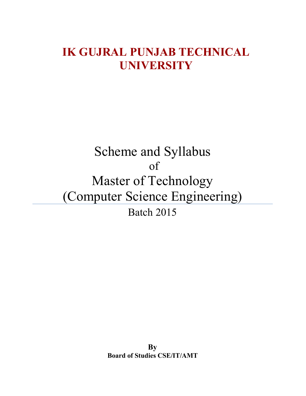### IK GUJRAL PUNJAB TECHNICAL UNIVERSITY

## Scheme and Syllabus of Master of Technology (Computer Science Engineering) Batch 2015

By Board of Studies CSE/IT/AMT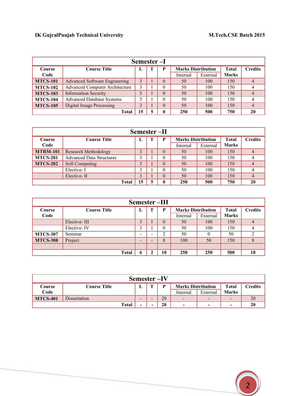| Semester-I      |                                       |   |   |              |                           |          |              |                |
|-----------------|---------------------------------------|---|---|--------------|---------------------------|----------|--------------|----------------|
| <b>Course</b>   | <b>Course Title</b>                   |   | Т | P            | <b>Marks Distribution</b> |          | <b>Total</b> | <b>Credits</b> |
| Code            |                                       |   |   |              | Internal                  | External | <b>Marks</b> |                |
| <b>MTCS-101</b> | <b>Advanced Software Engineering</b>  | 3 |   | $\theta$     | 50                        | 100      | 150          | $\overline{4}$ |
| <b>MTCS-102</b> | <b>Advanced Computer Architecture</b> | 3 |   | $\theta$     | 50                        | 100      | 150          | 4              |
| <b>MTCS-103</b> | <b>Information Security</b>           |   |   | $\theta$     | 50                        | 100      | 150          | $\overline{4}$ |
| <b>MTCS-104</b> | <b>Advanced Database Systems</b>      |   |   | $\theta$     | 50                        | 100      | 150          | 4              |
| <b>MTCS-105</b> | <b>Digital Image Processing</b>       | 3 |   | $\theta$     | 50                        | 100      | 150          | $\overline{4}$ |
| Total           |                                       |   | 5 | $\mathbf{0}$ | 250                       | 500      | 750          | 20             |

| Semester-II     |                                                                             |    |   |                |          |          |              |    |
|-----------------|-----------------------------------------------------------------------------|----|---|----------------|----------|----------|--------------|----|
| <b>Course</b>   | <b>Marks Distribution</b><br>P<br><b>Total</b><br><b>Course Title</b><br>л. |    |   | <b>Credits</b> |          |          |              |    |
| Code            |                                                                             |    |   |                | Internal | External | <b>Marks</b> |    |
| <b>MTRM-101</b> | Research Methodology                                                        |    |   | $\theta$       | 50       | 100      | 150          |    |
| <b>MTCS-201</b> | <b>Advanced Data Structures</b>                                             |    |   |                | 50       | 100      | 150          |    |
| <b>MTCS-202</b> | Soft Computing                                                              |    |   |                | 50       | 100      | 150          |    |
|                 | Elective-I                                                                  |    |   |                | 50       | 100      | 150          |    |
|                 | Elective-II                                                                 |    |   |                | 50       | 100      | 150          |    |
|                 | <b>Total</b>                                                                | 15 | 5 | $\mathbf{0}$   | 250      | 500      | 750          | 20 |

| Semester-III    |                     |                              |   |          |                           |          |              |                |
|-----------------|---------------------|------------------------------|---|----------|---------------------------|----------|--------------|----------------|
| <b>Course</b>   | <b>Course Title</b> | ы                            | т | P        | <b>Marks Distribution</b> |          | <b>Total</b> | <b>Credits</b> |
| Code            |                     |                              |   |          | Internal                  | External | <b>Marks</b> |                |
|                 | Elective-III        |                              |   | $\theta$ | 50                        | 100      | 150          | $\overline{4}$ |
|                 | Elective-IV         |                              |   | $\theta$ | 50                        | 100      | 150          |                |
| <b>MTCS-307</b> | Seminar             | $\qquad \qquad \blacksquare$ | - | 2        | 50                        | $\theta$ | 50           |                |
| <b>MTCS-308</b> | Project             | $\overline{\phantom{0}}$     | - | 8        | 100                       | 50       | 150          |                |
|                 |                     |                              |   |          |                           |          |              |                |
|                 | <b>Total</b>        | 6                            | ∍ | 10       | 250                       | 250      | 500          | 18             |

| Semester-IV                                                                    |              |   |                          |    |                           |          |                          |         |
|--------------------------------------------------------------------------------|--------------|---|--------------------------|----|---------------------------|----------|--------------------------|---------|
| Course                                                                         | Course Title | ш | m                        | D  | <b>Marks Distribution</b> |          | <b>Total</b>             | Credits |
| Code                                                                           |              |   |                          |    | Internal                  | External | <b>Marks</b>             |         |
| <b>MTCS-401</b>                                                                | Dissertation | - | $\overline{\phantom{a}}$ | 20 | $\overline{\phantom{0}}$  | -        | $\overline{\phantom{0}}$ | 20      |
| 20<br>20<br>Total<br>$\blacksquare$<br>-<br>-<br>-<br>$\overline{\phantom{a}}$ |              |   |                          |    |                           |          |                          |         |

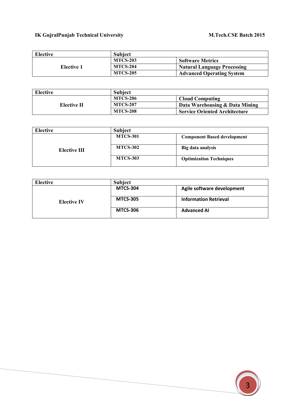| Elective   | <b>Subject</b>  |                                    |
|------------|-----------------|------------------------------------|
|            | <b>MTCS-203</b> | <b>Software Metrics</b>            |
| Elective 1 | <b>MTCS-204</b> | <b>Natural Language Processing</b> |
|            | <b>MTCS-205</b> | <b>Advanced Operating System</b>   |

| Elective    | <b>Subject</b>  |                                      |
|-------------|-----------------|--------------------------------------|
|             | <b>MTCS-206</b> | <b>Cloud Computing</b>               |
| Elective II | <b>MTCS-207</b> | Data Warehousing & Data Mining       |
|             | <b>MTCS-208</b> | <b>Service Oriented Architecture</b> |

| Elective     | <b>Subject</b>  |                                    |
|--------------|-----------------|------------------------------------|
|              | <b>MTCS-301</b> | <b>Component Based development</b> |
| Elective III | <b>MTCS-302</b> | Big data analysis                  |
|              | <b>MTCS-303</b> | <b>Optimization Techniques</b>     |

| Elective           | <b>Subject</b>  |                              |
|--------------------|-----------------|------------------------------|
|                    | <b>MTCS-304</b> | Agile software development   |
| <b>Elective IV</b> | <b>MTCS-305</b> | <b>Information Retrieval</b> |
|                    | <b>MTCS-306</b> | <b>Advanced AI</b>           |

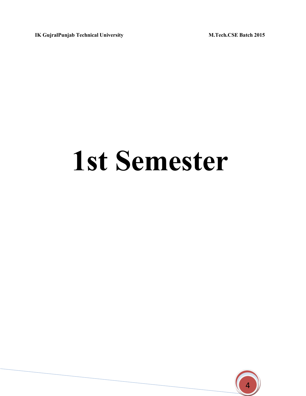# 1st Semester

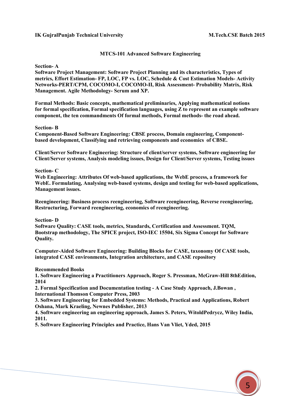#### MTCS-101 Advanced Software Engineering

Section- A

Software Project Management: Software Project Planning and its characteristics, Types of metrics, Effort Estimation- FP, LOC, FP vs. LOC, Schedule & Cost Estimation Models- Activity Networks-PERT/CPM, COCOMO-I, COCOMO-II, Risk Assessment- Probability Matrix, Risk Management. Agile Methodology- Scrum and XP.

Formal Methods: Basic concepts, mathematical preliminaries, Applying mathematical notions for formal specification, Formal specification languages, using  $Z$  to represent an example software component, the ten commandments Of formal methods, Formal methods- the road ahead.

#### Section- B

Component-Based Software Engineering: CBSE process, Domain engineering, Componentbased development, Classifying and retrieving components and economics of CBSE.

Client/Server Software Engineering: Structure of client/server systems, Software engineering for Client/Server systems, Analysis modeling issues, Design for Client/Server systems, Testing issues

#### Section- C

Web Engineering: Attributes Of web-based applications, the WebE process, a framework for WebE. Formulating, Analysing web-based systems, design and testing for web-based applications, Management issues.

Reengineering: Business process reengineering, Software reengineering, Reverse reengineering, Restructuring, Forward reengineering, economics of reengineering.

#### Section- D

Software Quality: CASE tools, metrics, Standards, Certification and Assessment. TQM, Bootstrap methodology, The SPICE project, ISO-IEC 15504, Six Sigma Concept for Software Quality.

Computer-Aided Software Engineering: Building Blocks for CASE, taxonomy Of CASE tools, integrated CASE environments, Integration architecture, and CASE repository

#### Recommended Books

1. Software Engineering a Practitioners Approach, Roger S. Pressman, McGraw-Hill 8thEdition, 2014

2. Formal Specification and Documentation testing - A Case Study Approach, J.Bowan , International Thomson Computer Press, 2003

3. Software Engineering for Embedded Systems: Methods, Practical and Applications, Robert Oshana, Mark Kraeling, Newnes Publisher, 2013

4. Software engineering an engineering approach, James S. Peters, WitoldPedrycz, Wiley India, 2011.

5. Software Engineering Principles and Practice, Hans Van Vliet, Yded, 2015

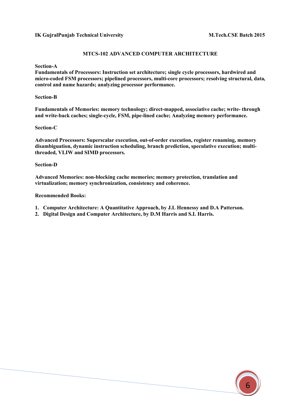#### MTCS-102 ADVANCED COMPUTER ARCHITECTURE

Section-A

Fundamentals of Processors: Instruction set architecture; single cycle processors, hardwired and micro-coded FSM processors; pipelined processors, multi-core processors; resolving structural, data, control and name hazards; analyzing processor performance.

Section-B

Fundamentals of Memories: memory technology; direct-mapped, associative cache; write- through and write-back caches; single-cycle, FSM, pipe-lined cache; Analyzing memory performance.

#### Section-C

Advanced Processors: Superscalar execution, out-of-order execution, register renaming, memory disambiguation, dynamic instruction scheduling, branch prediction, speculative execution; multithreaded, VLIW and SIMD processors.

#### Section-D

Advanced Memories: non-blocking cache memories; memory protection, translation and virtualization; memory synchronization, consistency and coherence.

#### Recommended Books:

- 1. Computer Architecture: A Quantitative Approach, by J.L Hennessy and D.A Patterson.
- 2. Digital Design and Computer Architecture, by D.M Harris and S.L Harris.

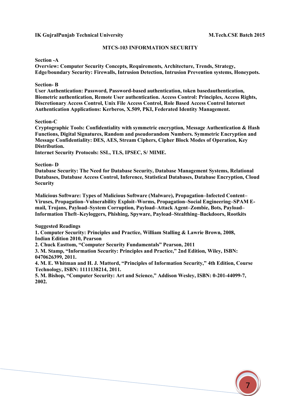#### MTCS-103 INFORMATION SECURITY

#### Section -A

Overview: Computer Security Concepts, Requirements, Architecture, Trends, Strategy, Edge/boundary Security: Firewalls, Intrusion Detection, Intrusion Prevention systems, Honeypots.

#### Section- B

User Authentication: Password, Password-based authentication, token basedauthentication, Biometric authentication, Remote User authentication. Access Control: Principles, Access Rights, Discretionary Access Control, Unix File Access Control, Role Based Access Control Internet Authentication Applications: Kerberos, X.509, PKI, Federated Identity Management.

#### Section-C

Cryptographic Tools: Confidentiality with symmetric encryption, Message Authentication & Hash Functions, Digital Signatures, Random and pseudorandom Numbers. Symmetric Encryption and Message Confidentiality: DES, AES, Stream Ciphers, Cipher Block Modes of Operation, Key Distribution.

Internet Security Protocols: SSL, TLS, IPSEC, S/ MIME.

#### Section- D

Database Security: The Need for Database Security, Database Management Systems, Relational Databases, Database Access Control, Inference, Statistical Databases, Database Encryption, Cloud Security

Malicious Software: Types of Malicious Software (Malware), Propagation–Infected Content– Viruses, Propagation–Vulnerability Exploit–Worms, Propagation–Social Engineering–SPAM Email, Trojans, Payload–System Corruption, Payload–Attack Agent–Zombie, Bots, Payload– Information Theft–Keyloggers, Phishing, Spyware, Payload–Stealthing–Backdoors, Rootkits

#### Suggested Readings

1. Computer Security: Principles and Practice, William Stalling & Lawrie Brown, 2008, Indian Edition 2010, Pearson

2. Chuck Easttom, "Computer Security Fundamentals" Pearson, 2011

3. M. Stamp, "Information Security: Principles and Practice," 2nd Edition, Wiley, ISBN: 0470626399, 2011.

4. M. E. Whitman and H. J. Mattord, "Principles of Information Security," 4th Edition, Course Technology, ISBN: 1111138214, 2011.

5. M. Bishop, "Computer Security: Art and Science," Addison Wesley, ISBN: 0-201-44099-7, 2002.

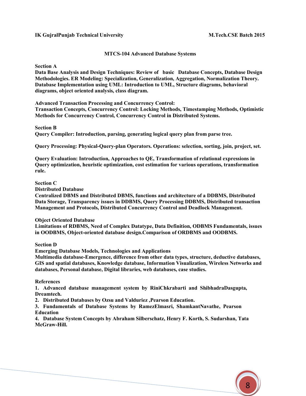#### MTCS-104 Advanced Database Systems

Section A

Data Base Analysis and Design Techniques: Review of basic Database Concepts, Database Design Methodologies. ER Modeling: Specialization, Generalization, Aggregation, Normalization Theory. Database Implementation using UML: Introduction to UML, Structure diagrams, behavioral diagrams, object oriented analysis, class diagram.

Advanced Transaction Processing and Concurrency Control:

Transaction Concepts, Concurrency Control: Locking Methods, Timestamping Methods, Optimistic Methods for Concurrency Control, Concurrency Control in Distributed Systems.

Section B

Query Compiler: Introduction, parsing, generating logical query plan from parse tree.

Query Processing: Physical-Query-plan Operators. Operations: selection, sorting, join, project, set.

Query Evaluation: Introduction, Approaches to QE, Transformation of relational expressions in Query optimization, heuristic optimization, cost estimation for various operations, transformation rule.

#### Section C

Distributed Database

Centralized DBMS and Distributed DBMS, functions and architecture of a DDBMS, Distributed Data Storage, Transparency issues in DDBMS, Query Processing DDBMS, Distributed transaction Management and Protocols, Distributed Concurrency Control and Deadlock Management.

Object Oriented Database

Limitations of RDBMS, Need of Complex Datatype, Data Definition, ODBMS Fundamentals, issues in OODBMS, Object-oriented database design.Comparison of ORDBMS and OODBMS.

Section D

Emerging Database Models, Technologies and Applications

Multimedia database-Emergence, difference from other data types, structure, deductive databases, GIS and spatial databases, Knowledge database, Information Visualization, Wireless Networks and databases, Personal database, Digital libraries, web databases, case studies.

References

1. Advanced database management system by RiniChkrabarti and ShibhadraDasgupta, Dreamtech.

2. Distributed Databases by Ozsu and Valduriez ,Pearson Education.

3. Fundamentals of Database Systems by RamezElmasri, ShamkantNavathe, Pearson Education

4. Database System Concepts by Abraham Silberschatz, Henry F. Korth, S. Sudarshan, Tata McGraw-Hill.

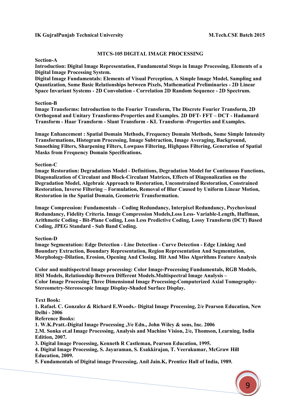#### MTCS-105 DIGITAL IMAGE PROCESSING

Section-A

Introduction: Digital Image Representation, Fundamental Steps in Image Processing, Elements of a Digital Image Processing System.

Digital Image Fundamentals: Elements of Visual Perception, A Simple Image Model, Sampling and Quantization, Some Basic Relationships between Pixels, Mathematical Preliminaries - 2D Linear Space Invariant Systems - 2D Convolution - Correlation 2D Random Sequence - 2D Spectrum.

#### Section-B

Image Transforms: Introduction to the Fourier Transform, The Discrete Fourier Transform, 2D Orthogonal and Unitary Transforms-Properties and Examples. 2D DFT- FFT – DCT - Hadamard Transform - Haar Transform - Slant Transform - KL Transform -Properties and Examples.

Image Enhancement : Spatial Domain Methods, Frequency Domain Methods, Some Simple Intensity Transformations, Histogram Processing, Image Subtraction, Image Averaging, Background, Smoothing Filters, Sharpening Filters, Lowpass Filtering, Highpass Filtering, Generation of Spatial Masks from Frequency Domain Specifications.

#### Section-C

Image Restoration: Degradations Model - Definitions, Degradation Model for Continuous Functions, Diagonalization of Circulant and Block-Circulant Matrices, Effects of Diagonalization on the Degradation Model, Algebraic Approach to Restoration, Unconstrained Restoration, Constrained Restoration, Inverse Filtering – Formulation, Removal of Blur Caused by Uniform Linear Motion, Restoration in the Spatial Domain, Geometric Transformation.

Image Compression: Fundamentals – Coding Redundancy, Interpixel Redundancy, Psychovisual Redundancy, Fidelity Criteria. Image Compression Models,Loss Less- Variable-Length, Huffman, Arithmetic Coding - Bit-Plane Coding, Loss Less Predictive Coding, Lossy Transform (DCT) Based Coding, JPEG Standard - Sub Band Coding.

Section-D

Image Segmentation: Edge Detection - Line Detection - Curve Detection - Edge Linking And Boundary Extraction, Boundary Representation, Region Representation And Segmentation, Morphology-Dilation, Erosion, Opening And Closing. Hit And Miss Algorithms Feature Analysis

Color and multispectral Image processing: Color Image-Processing Fundamentals, RGB Models, HSI Models, Relationship Between Different Models.Multispectral Image Analysis – Color Image Processing Three Dimensional Image Processing-Computerized Axial Tomography-Stereometry-Stereoscopic Image Display-Shaded Surface Display.

#### Text Book:

1. Rafael. C. Gonzalez & Richard E.Woods.- Digital Image Processing, 2/e Pearson Education, New Delhi - 2006

Reference Books:

1. W.K.Pratt.-Digital Image Processing ,3/e Edn., John Wiley & sons, Inc. 2006

2.M. Sonka et.al Image Processing, Analysis and Machine Vision, 2/e, Thomson, Learning, India Edition, 2007.

3. Digital Image Processing, Kenneth R Castleman, Pearson Education, 1995.

4. Digital Image Processing, S. Jayaraman, S. Esakkirajan, T. Veerakumar, McGraw Hill Education, 2009.

5. Fundamentals of Digital image Processing, Anil Jain.K, Prentice Hall of India, 1989.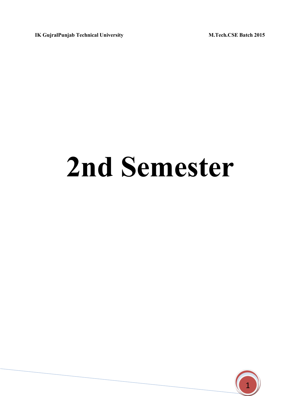# 2nd Semester

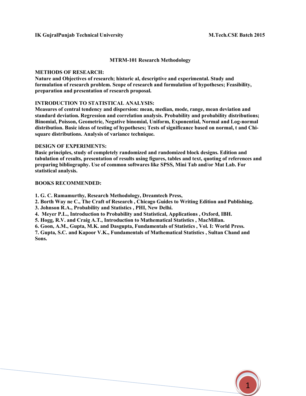#### MTRM-101 Research Methodology

#### METHODS OF RESEARCH:

Nature and Objectives of research; historic al, descriptive and experimental. Study and formulation of research problem. Scope of research and formulation of hypotheses; Feasibility, preparation and presentation of research proposal.

#### INTRODUCTION TO STATISTICAL ANALYSIS:

Measures of central tendency and dispersion: mean, median, mode, range, mean deviation and standard deviation. Regression and correlation analysis. Probability and probability distributions; Binomial, Poisson, Geometric, Negative binomial, Uniform, Exponential, Normal and Log-normal distribution. Basic ideas of testing of hypotheses; Tests of significance based on normal, t and Chisquare distributions. Analysis of variance technique.

#### DESIGN OF EXPERIMENTS:

Basic principles, study of completely randomized and randomized block designs. Edition and tabulation of results, presentation of results using figures, tables and text, quoting of references and preparing bibliography. Use of common softwares like SPSS, Mini Tab and/or Mat Lab. For statistical analysis.

#### BOOKS RECOMMENDED:

1. G. C. Ramamurthy, Research Methodology, Dreamtech Press,

2. Borth Way ne C., The Craft of Research , Chicago Guides to Writing Edition and Publishing.

- 3. Johnson R.A., Probability and Statistics , PHI, New Delhi.
- 4. Meyer P.L., Introduction to Probability and Statistical, Applications , Oxford, IBH.

5. Hogg, R.V. and Craig A.T., Introduction to Mathematical Statistics , MacMillan.

6. Goon, A.M., Gupta, M.K. and Dasgupta, Fundamentals of Statistics , Vol. I: World Press.

7. Gupta, S.C. and Kapoor V.K., Fundamentals of Mathematical Statistics , Sultan Chand and Sons.

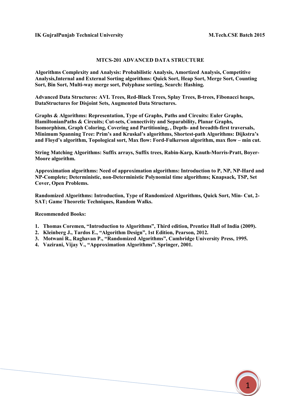1

#### MTCS-201 ADVANCED DATA STRUCTURE

Algorithms Complexity and Analysis: Probabilistic Analysis, Amortized Analysis, Competitive Analysis,Internal and External Sorting algorithms: Quick Sort, Heap Sort, Merge Sort, Counting Sort, Bin Sort, Multi-way merge sort, Polyphase sorting, Search: Hashing.

Advanced Data Structures: AVL Trees, Red-Black Trees, Splay Trees, B-trees, Fibonacci heaps, DataStructures for Disjoint Sets, Augmented Data Structures.

Graphs & Algorithms: Representation, Type of Graphs, Paths and Circuits: Euler Graphs, HamiltonianPaths & Circuits; Cut-sets, Connectivity and Separability, Planar Graphs, Isomorphism, Graph Coloring, Covering and Partitioning, , Depth- and breadth-first traversals, Minimum Spanning Tree: Prim's and Kruskal's algorithms, Shortest-path Algorithms: Dijkstra's and Floyd's algorithm, Topological sort, Max flow: Ford-Fulkerson algorithm, max flow – min cut.

String Matching Algorithms: Suffix arrays, Suffix trees, Rabin-Karp, Knuth-Morris-Pratt, Boyer-Moore algorithm.

Approximation algorithms: Need of approximation algorithms: Introduction to P, NP, NP-Hard and NP-Complete; Deterministic, non-Deterministic Polynomial time algorithms; Knapsack, TSP, Set Cover, Open Problems.

Randomized Algorithms: Introduction, Type of Randomized Algorithms, Quick Sort, Min- Cut, 2- SAT; Game Theoretic Techniques, Random Walks.

Recommended Books:

- 1. Thomas Coremen, "Introduction to Algorithms", Third edition, Prentice Hall of India (2009).
- 2. Kleinberg J., Tardos E., "Algorithm Design", 1st Edition, Pearson, 2012.
- 3. Motwani R., Raghavan P., "Randomized Algorithms", Cambridge University Press, 1995.
- 4. Vazirani, Vijay V., "Approximation Algorithms", Springer, 2001.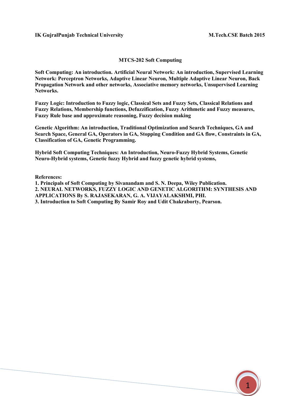#### MTCS-202 Soft Computing

Soft Computing: An introduction. Artificial Neural Network: An introduction, Supervised Learning Network: Perceptron Networks, Adaptive Linear Neuron, Multiple Adaptive Linear Neuron, Back Propagation Network and other networks, Associative memory networks, Unsupervised Learning Networks.

Fuzzy Logic: Introduction to Fuzzy logic, Classical Sets and Fuzzy Sets, Classical Relations and Fuzzy Relations, Membership functions, Defuzzification, Fuzzy Arithmetic and Fuzzy measures, Fuzzy Rule base and approximate reasoning, Fuzzy decision making

Genetic Algorithm: An introduction, Traditional Optimization and Search Techniques, GA and Search Space, General GA, Operators in GA, Stopping Condition and GA flow, Constraints in GA, Classification of GA, Genetic Programming.

Hybrid Soft Computing Techniques: An Introduction, Neuro-Fuzzy Hybrid Systems, Genetic Neuro-Hybrid systems, Genetic fuzzy Hybrid and fuzzy genetic hybrid systems,

References:

1. Principals of Soft Computing by Sivanandam and S. N. Deepa, Wiley Publication. 2. NEURAL NETWORKS, FUZZY LOGIC AND GENETIC ALGORITHM: SYNTHESIS AND APPLICATIONS By S. RAJASEKARAN, G. A. VIJAYALAKSHMI, PHI. 3. Introduction to Soft Computing By Samir Roy and Udit Chakraborty, Pearson.

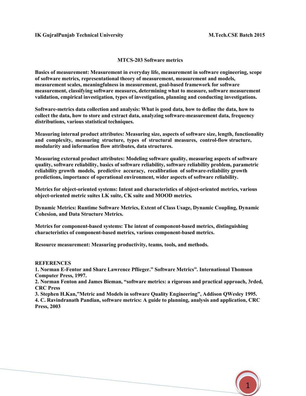#### MTCS-203 Software metrics

Basics of measurement: Measurement in everyday life, measurement in software engineering, scope of software metrics, representational theory of measurement, measurement and models, measurement scales, meaningfulness in measurement, goal-based framework for software measurement, classifying software measures, determining what to measure, software measurement validation, empirical investigation, types of investigation, planning and conducting investigations.

Software-metrics data collection and analysis: What is good data, how to define the data, how to collect the data, how to store and extract data, analyzing software-measurement data, frequency distributions, various statistical techniques.

Measuring internal product attributes: Measuring size, aspects of software size, length, functionality and complexity, measuring structure, types of structural measures, control-flow structure, modularity and information flow attributes, data structures.

Measuring external product attributes: Modeling software quality, measuring aspects of software quality, software reliability, basics of software reliability, software reliability problem, parametric reliability growth models, predictive accuracy, recalibration of software-reliability growth predictions, importance of operational environment, wider aspects of software reliability.

Metrics for object-oriented systems: Intent and characteristics of object-oriented metrics, various object-oriented metric suites LK suite, CK suite and MOOD metrics.

Dynamic Metrics: Runtime Software Metrics, Extent of Class Usage, Dynamic Coupling, Dynamic Cohesion, and Data Structure Metrics.

Metrics for component-based systems: The intent of component-based metrics, distinguishing characteristics of component-based metrics, various component-based metrics.

Resource measurement: Measuring productivity, teams, tools, and methods.

#### **REFERENCES**

1. Norman E-Fentor and Share Lawrence Pflieger." Software Metrics". International Thomson Computer Press, 1997.

2. Norman Fenton and James Bieman, "software metrics: a rigorous and practical approach, 3rded, CRC Press

3. Stephen H.Kan,"Metric and Models in software Quality Engineering", Addison QWesley 1995. 4. C. Ravindranath Pandian, software metrics: A guide to planning, analysis and application, CRC Press, 2003

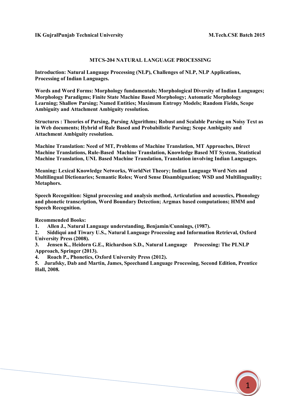#### MTCS-204 NATURAL LANGUAGE PROCESSING

Introduction: Natural Language Processing (NLP), Challenges of NLP, NLP Applications, Processing of Indian Languages.

Words and Word Forms: Morphology fundamentals; Morphological Diversity of Indian Languages; Morphology Paradigms; Finite State Machine Based Morphology; Automatic Morphology Learning; Shallow Parsing; Named Entities; Maximum Entropy Models; Random Fields, Scope Ambiguity and Attachment Ambiguity resolution.

Structures : Theories of Parsing, Parsing Algorithms; Robust and Scalable Parsing on Noisy Text as in Web documents; Hybrid of Rule Based and Probabilistic Parsing; Scope Ambiguity and Attachment Ambiguity resolution.

Machine Translation: Need of MT, Problems of Machine Translation, MT Approaches, Direct Machine Translations, Rule-Based Machine Translation, Knowledge Based MT System, Statistical Machine Translation, UNL Based Machine Translation, Translation involving Indian Languages.

Meaning: Lexical Knowledge Networks, WorldNet Theory; Indian Language Word Nets and Multilingual Dictionaries; Semantic Roles; Word Sense Disambiguation; WSD and Multilinguality; Metaphors.

Speech Recognition: Signal processing and analysis method, Articulation and acoustics, Phonology and phonetic transcription, Word Boundary Detection; Argmax based computations; HMM and Speech Recognition.

Recommended Books:

1. Allen J., Natural Language understanding, Benjamin/Cunnings, (1987).

2. Siddiqui and Tiwary U.S., Natural Language Processing and Information Retrieval, Oxford University Press (2008).

3. Jensen K., Heidorn G.E., Richardson S.D., Natural Language Processing: The PLNLP Approach, Springer (2013).

4. Roach P., Phonetics, Oxford University Press (2012).

5. Jurafsky, Dab and Martin, James, Speechand Language Processing, Second Edition, Prentice Hall, 2008.

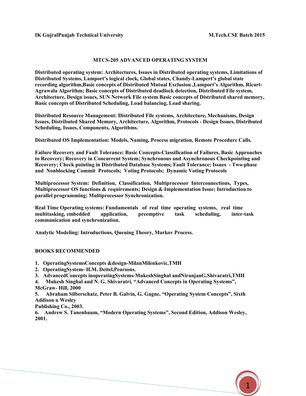#### MTCS-205 ADVANCED OPERATING SYSTEM

Distributed operating system: Architectures, Issues in Distributed operating systems, Limitations of Distributed Systems, Lamport's logical clock, Global states, Chandy-Lampert's global state recording algorithm,Basic concepts of Distributed Mutual Exclusion ,Lamport's Algorithm, Ricart-Agrawala Algorithm; Basic concepts of Distributed deadlock detection, Distributed File system, Architecture, Design issues, SUN Network File system Basic concepts of Distributed shared memory, Basic concepts of Distributed Scheduling, Load balancing, Load sharing.

Distributed Resource Management: Distributed File systems, Architecture, Mechanisms, Design Issues, Distributed Shared Memory, Architecture, Algorithm, Protocols - Design Issues. Distributed Scheduling, Issues, Components, Algorithms.

Distributed OS Implementation: Models, Naming, Process migration, Remote Procedure Calls.

Failure Recovery and Fault Tolerance: Basic Concepts-Classification of Failures, Basic Approaches to Recovery; Recovery in Concurrent System; Synchronous and Asynchronous Checkpointing and Recovery; Check pointing in Distributed Database Systems; Fault Tolerance; Issues - Two-phase and Nonblocking Commit Protocols; Voting Protocols; Dynamic Voting Protocols

Multiprocessor System: Definition, Classification, Multiprocessor Interconnections, Types, Multiprocessor OS functions & requirements; Design & Implementation Issue; Introduction to parallel programming; Multiprocessor Synchronization.

Real Time Operating systems: Fundamentals of real time operating systems, real time multitasking, embedded application, preemptive task scheduling, inter-task communication and synchronization.

Analytic Modeling: Introductions, Queuing Theory, Markov Process.

#### BOOKS RECOMMENDED

- 1. OperatingSystemsConcepts &design-MilanMilenkovic,TMH
- 2. OperatingSystem- H.M. Deitel,Pearsons.
- 3. AdvancedConcepts inoperatingSystems-MukeshSinghal andNiranjanG.Shivaratri,TMH

4. Mukesh Singhal and N. G. Shivaratri, "Advanced Concepts in Operating Systems", McGraw- Hill, 2000

5. Abraham Silberschatz, Peter B. Galvin, G. Gagne, "Operating System Concepts", Sixth Addison n Wesley

Publishing Co., 2003.

6. Andrew S. Tanenbaum, "Modern Operating Systems", Second Edition, Addison Wesley, 2001.

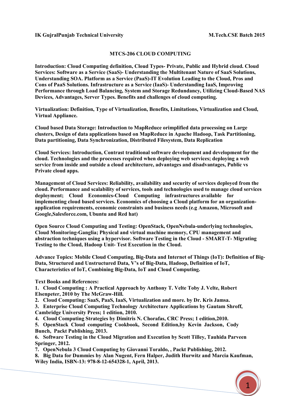#### MTCS-206 CLOUD COMPUTING

Introduction: Cloud Computing definition, Cloud Types- Private, Public and Hybrid cloud. Cloud Services: Software as a Service (SaaS)- Understanding the Multitenant Nature of SaaS Solutions, Understanding SOA. Platform as a Service (PaaS)-IT Evolution Leading to the Cloud, Pros and Cons of PaaS Solutions. Infrastructure as a Service (IaaS)- Understanding IaaS, Improving Performance through Load Balancing, System and Storage Redundancy, Utilizing Cloud-Based NAS Devices, Advantages, Server Types. Benefits and challenges of cloud computing.

Virtualization: Definition, Type of Virtualization, Benefits, Limitations, Virtualization and Cloud, Virtual Appliance.

Cloud based Data Storage: Introduction to MapReduce orimplified data processing on Large clusters, Design of data applications based on MapReduce in Apache Hadoop, Task Partitioning, Data partitioning, Data Synchronization, Distributed Filesystem, Data Replication

Cloud Services: Introduction, Contrast traditional software development and development for the cloud. Technologies and the processes required when deploying web services; deploying a web service from inside and outside a cloud architecture, advantages and disadvantages, Public vs Private cloud apps.

Management of Cloud Services: Reliability, availability and security of services deployed from the cloud. Performance and scalability of services, tools and technologies used to manage cloud services deployment; Cloud Economics-Cloud Computing infrastructures available for implementing cloud based services. Economics of choosing a Cloud platform for an organizationapplication requirements, economic constraints and business needs (e.g Amazon, Microsoft and Google,Salesforce.com, Ubuntu and Red hat)

Open Source Cloud Computing and Testing: OpenStack, OpenNebula-underlying technologies, Cloud Monitoring-Ganglia; Physical and virtual machine memory, CPU management and abstraction techniques using a hypervisor. Software Testing in the Cloud - SMART-T- Migrating Testing to the Cloud, Hadoop Unit- Test Execution in the Cloud.

Advance Topics: Mobile Cloud Computing, Big-Data and Internet of Things (IoT): Definition of Big-Data, Structured and Unstructured Data, V's of Big-Data, Hadoop, Definition of IoT, Characteristics of IoT, Combining Big-Data, IoT and Cloud Computing.

Text Books and References:

1. Cloud Computing : A Practical Approach by Anthony T. Velte Toby J. Velte, Robert Elsenpeter, 2010 by The McGraw-Hill.

2. Cloud Computing: SaaS, PaaS, IaaS, Virtualization and more. by Dr. Kris Jamsa.

3. Enterprise Cloud Computing Technology Architecture Applications by Gautam Shroff, Cambridge University Press; 1 edition, 2010.

4. Cloud Computing Strategies by Dimitris N. Chorafas, CRC Press; 1 edition,2010.

5. OpenStack Cloud computing Cookbook, Second Edition,by Kevin Jackson, Cody Bunch, Packt Publishing, 2013.

6. Software Testing in the Cloud Migration and Execution by Scott Tilley, Tauhida Parveen Springer, 2012.

7. OpenNebula 3 Cloud Computing by Giovanni Toraldo, , Packt Publishing, 2012.

8. Big Data for Dummies by Alan Nugent, Fern Halper, Judith Hurwitz and Marcia Kaufman, Wiley India, ISBN-13: 978-8-12-654328-1, April, 2013.

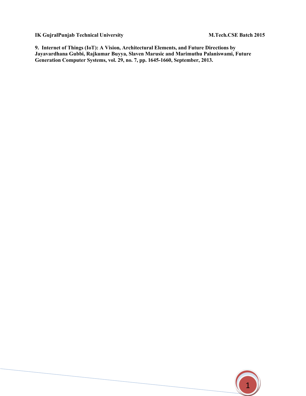9. Internet of Things (IoT): A Vision, Architectural Elements, and Future Directions by Jayavardhana Gubbi, Rajkumar Buyya, Slaven Marusic and Marimuthu Palaniswami, Future Generation Computer Systems, vol. 29, no. 7, pp. 1645-1660, September, 2013.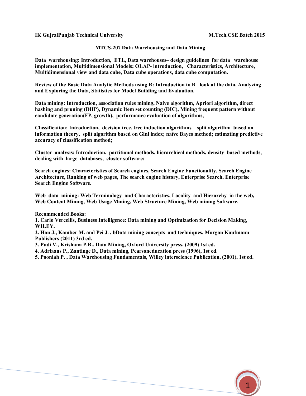#### MTCS-207 Data Warehousing and Data Mining

Data warehousing: Introduction, ETL, Data warehouses– design guidelines for data warehouse implementation, Multidimensional Models; OLAP- introduction, Characteristics, Architecture, Multidimensional view and data cube, Data cube operations, data cube computation.

Review of the Basic Data Analytic Methods using R: Introduction to R –look at the data, Analyzing and Exploring the Data, Statistics for Model Building and Evaluation.

Data mining: Introduction, association rules mining, Naive algorithm, Apriori algorithm, direct hashing and pruning (DHP), Dynamic Item set counting (DIC), Mining frequent pattern without candidate generation(FP, growth), performance evaluation of algorithms,

Classification: Introduction, decision tree, tree induction algorithms – split algorithm based on information theory, split algorithm based on Gini index; naïve Bayes method; estimating predictive accuracy of classification method;

Cluster analysis: Introduction, partitional methods, hierarchical methods, density based methods, dealing with large databases, cluster software;

Search engines: Characteristics of Search engines, Search Engine Functionality, Search Engine Architecture, Ranking of web pages, The search engine history, Enterprise Search, Enterprise Search Engine Software.

Web data mining: Web Terminology and Characteristics, Locality and Hierarchy in the web, Web Content Mining, Web Usage Mining, Web Structure Mining, Web mining Software.

Recommended Books:

1. Carlo Vercellis, Business Intelligence: Data mining and Optimization for Decision Making, WILEY.

2. Han J., Kamber M. and Pei J. , bData mining concepts and techniques, Morgan Kaufmann Publishers (2011) 3rd ed.

3. Pudi V., Krishana P.R., Data Mining, Oxford University press, (2009) 1st ed.

4. Adriaans P., Zantinge D., Data mining, Pearsoneducation press (1996), 1st ed.

5. Pooniah P. , Data Warehousing Fundamentals, Willey interscience Publication, (2001), 1st ed.

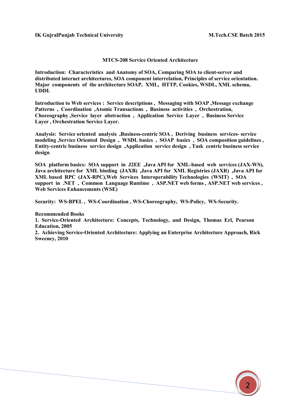Sweeney, 2010

#### MTCS-208 Service Oriented Architecture

Introduction: Characteristics and Anatomy of SOA, Comparing SOA to client-server and distributed internet architectures, SOA component interrelation, Principles of service orientation. Major components of the architecture SOAP, XML, HTTP, Cookies, WSDL, XML schema, UDDI.

Introduction to Web services : Service descriptions , Messaging with SOAP ,Message exchange Patterns , Coordination ,Atomic Transactions , Business activities , Orchestration, Choreography ,Service layer abstraction , Application Service Layer , Business Service Layer , Orchestration Service Layer.

Analysis: Service oriented analysis ,Business-centric SOA , Deriving business services- service modeling ,Service Oriented Design , WSDL basics , SOAP basics , SOA composition guidelines , Entity-centric business service design ,Application service design , Task centric business service design

SOA platform basics: SOA support in J2EE ,Java API for XML-based web services (JAX-WS), Java architecture for XML binding (JAXB) ,Java API for XML Registries (JAXR) ,Java API for XML based RPC (JAX-RPC),Web Services Interoperability Technologies (WSIT) , SOA support in .NET , Common Language Runtime , ASP.NET web forms , ASP.NET web services , Web Services Enhancements (WSE)

Security: WS-BPEL , WS-Coordination , WS-Choreography, WS-Policy, WS-Security.

Recommended Books 1. Service-Oriented Architecture: Concepts, Technology, and Design, Thomas Erl, Pearson Education, 2005 2. Achieving Service-Oriented Architecture: Applying an Enterprise Architecture Approach, Rick

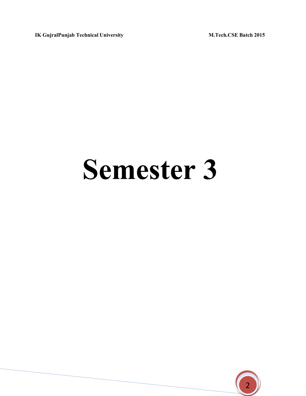# Semester 3

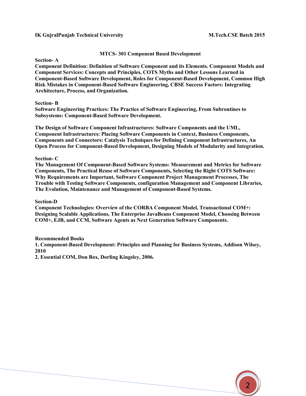#### MTCS- 301 Component Based Development

Section- A

Component Definition: Definition of Software Component and its Elements. Component Models and Component Services: Concepts and Principles, COTS Myths and Other Lessons Learned in Component-Based Software Development, Roles for Component-Based Development, Common High Risk Mistakes in Component-Based Software Engineering, CBSE Success Factors: Integrating Architecture, Process, and Organization.

#### Section- B

Software Engineering Practices: The Practice of Software Engineering, From Subroutines to Subsystems: Component-Based Software Development.

The Design of Software Component Infrastructures: Software Components and the UML, Component Infrastructures: Placing Software Components in Context, Business Components, Components and Connectors: Catalysis Techniques for Defining Component Infrastructures, An Open Process for Component-Based Development, Designing Models of Modularity and Integration.

#### Section- C

The Management Of Component-Based Software Systems: Measurement and Metrics for Software Components, The Practical Reuse of Software Components, Selecting the Right COTS Software: Why Requirements are Important, Software Component Project Management Processes, The Trouble with Testing Software Components, configuration Management and Component Libraries, The Evolution, Maintenance and Management of Component-Based Systems.

#### Section-D

Component Technologies: Overview of the CORBA Component Model, Transactional COM+: Designing Scalable Applications, The Enterprise JavaBeans Component Model, Choosing Between COM+, EJB, and CCM, Software Agents as Next Generation Software Components.

#### Recommended Books

1. Component-Based Development: Principles and Planning for Business Systems, Addison Wilsey, 2010

2. Essential COM, Don Box, Dorling Kingsley, 2006.

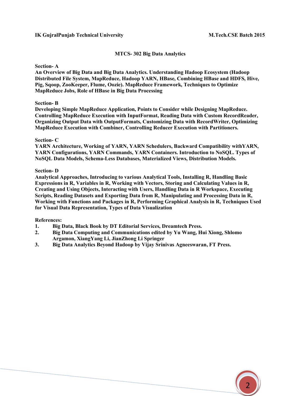#### MTCS- 302 Big Data Analytics

Section- A

An Overview of Big Data and Big Data Analytics. Understanding Hadoop Ecosystem (Hadoop Distributed File System, MapReduce, Hadoop YARN, HBase, Combining HBase and HDFS, Hive, Pig, Sqoop, ZooKeeper, Flume, Oozie). MapReduce Framework, Techniques to Optimize MapReduce Jobs, Role of HBase in Big Data Processing

#### Section- B

Developing Simple MapReduce Application, Points to Consider while Designing MapReduce. Controlling MapReduce Execution with InputFormat, Reading Data with Custom RecordReader, Organizing Output Data with OutputFormats, Customizing Data with RecordWriter, Optimizing MapReduce Execution with Combiner, Controlling Reducer Execution with Partitioners.

#### Section- C

YARN Architecture, Working of YARN, YARN Schedulers, Backward Compatibility withYARN, YARN Configurations, YARN Commands, YARN Containers. Introduction to NoSQL. Types of NoSQL Data Models, Schema-Less Databases, Materialized Views, Distribution Models.

#### Section- D

Analytical Approaches, Introducing to various Analytical Tools, Installing R, Handling Basic Expressions in R, Variables in R, Working with Vectors, Storing and Calculating Values in R, Creating and Using Objects, Interacting with Users, Handling Data in R Workspace, Executing Scripts, Reading Datasets and Exporting Data from R, Manipulating and Processing Data in R, Working with Functions and Packages in R, Performing Graphical Analysis in R, Techniques Used for Visual Data Representation, Types of Data Visualization

#### References:

- 1. Big Data, Black Book by DT Editorial Services, Dreamtech Press.
- 2. Big Data Computing and Communications edited by Yu Wang, Hui Xiong, Shlomo Argamon, XiangYang Li, JianZhong Li Springer
- 3. Big Data Analytics Beyond Hadoop by Vijay Srinivas Agneeswaran, FT Press.

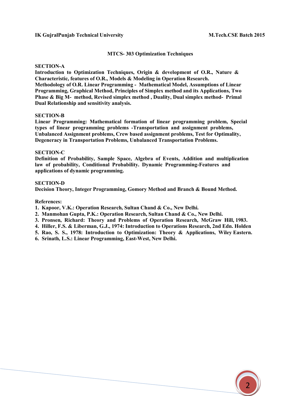#### MTCS- 303 Optimization Techniques

#### SECTION-A

Introduction to Optimization Techniques, Origin & development of O.R., Nature & Characteristic, features of O.R., Models & Modeling in Operation Research. Methodology of O.R. Linear Programming - Mathematical Model, Assumptions of Linear Programming, Graphical Method, Principles of Simplex method and its Applications, Two Phase & Big M- method, Revised simplex method , Duality, Dual simplex method- Primal Dual Relationship and sensitivity analysis.

#### SECTION-B

Linear Programming: Mathematical formation of linear programming problem, Special types of linear programming problems -Transportation and assignment problems, Unbalanced Assignment problems, Crew based assignment problems, Test for Optimality, Degeneracy in Transportation Problems, Unbalanced Transportation Problems.

#### SECTION-C

Definition of Probability, Sample Space, Algebra of Events, Addition and multiplication law of probability, Conditional Probability. Dynamic Programming-Features and applications of dynamic programming.

#### SECTION-D

Decision Theory, Integer Programming, Gomory Method and Branch & Bound Method.

References:

- 1. Kapoor, V.K.: Operation Research, Sultan Chand & Co., New Delhi.
- 2. Manmohan Gupta, P.K.: Operation Research, Sultan Chand & Co., New Delhi.
- 3. Pronsen, Richard: Theory and Problems of Operation Research, McGraw Hill, 1983.
- 4. Hiller, F.S. & Liberman, G.J., 1974: Introduction to Operations Research, 2nd Edn. Holden
- 5. Rao, S. S., 1978: Introduction to Optimization: Theory & Applications, Wiley Eastern.

6. Srinath, L.S.: Linear Programming, East-West, New Delhi.

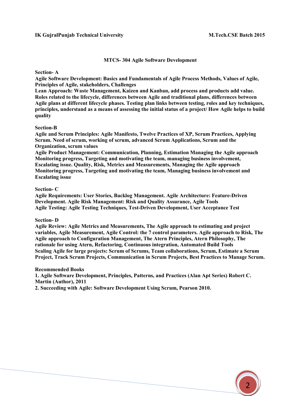#### MTCS- 304 Agile Software Development

Section- A

Agile Software Development: Basics and Fundamentals of Agile Process Methods, Values of Agile, Principles of Agile, stakeholders, Challenges

Lean Approach: Waste Management, Kaizen and Kanban, add process and products add value. Roles related to the lifecycle, differences between Agile and traditional plans, differences between Agile plans at different lifecycle phases. Testing plan links between testing, roles and key techniques, principles, understand as a means of assessing the initial status of a project/ How Agile helps to build quality

#### Section-B

Agile and Scrum Principles: Agile Manifesto, Twelve Practices of XP, Scrum Practices, Applying Scrum. Need of scrum, working of scrum, advanced Scrum Applications, Scrum and the Organization, scrum values

Agile Product Management: Communication, Planning, Estimation Managing the Agile approach Monitoring progress, Targeting and motivating the team, managing business involvement, Escalating issue. Quality, Risk, Metrics and Measurements, Managing the Agile approach Monitoring progress, Targeting and motivating the team, Managing business involvement and Escalating issue

#### Section- C

Agile Requirements: User Stories, Backlog Management. Agile Architecture: Feature-Driven Development. Agile Risk Management: Risk and Quality Assurance, Agile Tools Agile Testing: Agile Testing Techniques, Test-Driven Development, User Acceptance Test

#### Section- D

Agile Review: Agile Metrics and Measurements, The Agile approach to estimating and project variables, Agile Measurement, Agile Control: the 7 control parameters. Agile approach to Risk, The Agile approach to Configuration Management, The Atern Principles, Atern Philosophy, The rationale for using Atern, Refactoring, Continuous integration, Automated Build Tools Scaling Agile for large projects: Scrum of Scrums, Team collaborations, Scrum, Estimate a Scrum Project, Track Scrum Projects, Communication in Scrum Projects, Best Practices to Manage Scrum.

#### Recommended Books

1. Agile Software Development, Principles, Patterns, and Practices (Alan Apt Series) Robert C. Martin (Author), 2011

2. Succeeding with Agile: Software Development Using Scrum, Pearson 2010.

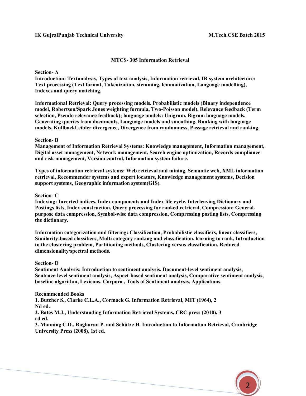#### MTCS- 305 Information Retrieval

Section- A

Introduction: Textanalysis, Types of text analysis, Information retrieval, IR system architecture: Text processing (Text format, Tokenization, stemming, lemmatization, Language modelling), Indexes and query matching.

Informational Retrieval: Query processing models. Probabilistic models (Binary independence model, Robertson/Spark Jones weighting formula, Two-Poisson model), Relevance feedback (Term selection, Pseudo relevance feedback); language models: Unigram, Bigram language models, Generating queries from documents, Language models and smoothing, Ranking with language models, KullbackLeibler divergence, Divergence from randomness, Passage retrieval and ranking.

#### Section- B

Management of Information Retrieval Systems: Knowledge management, Information management, Digital asset management, Network management, Search engine optimization, Records compliance and risk management, Version control, Information system failure.

Types of information retrieval systems: Web retrieval and mining, Semantic web, XML information retrieval, Recommender systems and expert locators, Knowledge management systems, Decision support systems, Geographic information system(GIS).

Section- C

Indexing: Inverted indices, Index components and Index life cycle, Interleaving Dictionary and Postings lists, Index construction, Query processing for ranked retrieval, Compression: Generalpurpose data compression, Symbol-wise data compression, Compressing posting lists, Compressing the dictionary.

Information categorization and filtering: Classification, Probabilistic classifiers, linear classifiers, Similarity-based classifiers, Multi category ranking and classification, learning to rank, Introduction to the clustering problem, Partitioning methods, Clustering versus classification, Reduced dimensionality/spectral methods.

#### Section- D

Sentiment Analysis: Introduction to sentiment analysis, Document-level sentiment analysis, Sentence-level sentiment analysis, Aspect-based sentiment analysis, Comparative sentiment analysis, baseline algorithm, Lexicons, Corpora , Tools of Sentiment analysis, Applications.

Recommended Books

1. Butcher S., Clarke C.L.A., Cormack G. Information Retrieval, MIT (1964), 2 Nd ed.

2. Bates M.J., Understanding Information Retrieval Systems, CRC press (2010), 3 rd ed.

3. Manning C.D., Raghavan P. and Schütze H. Introduction to Information Retrieval, Cambridge University Press (2008), 1st ed.